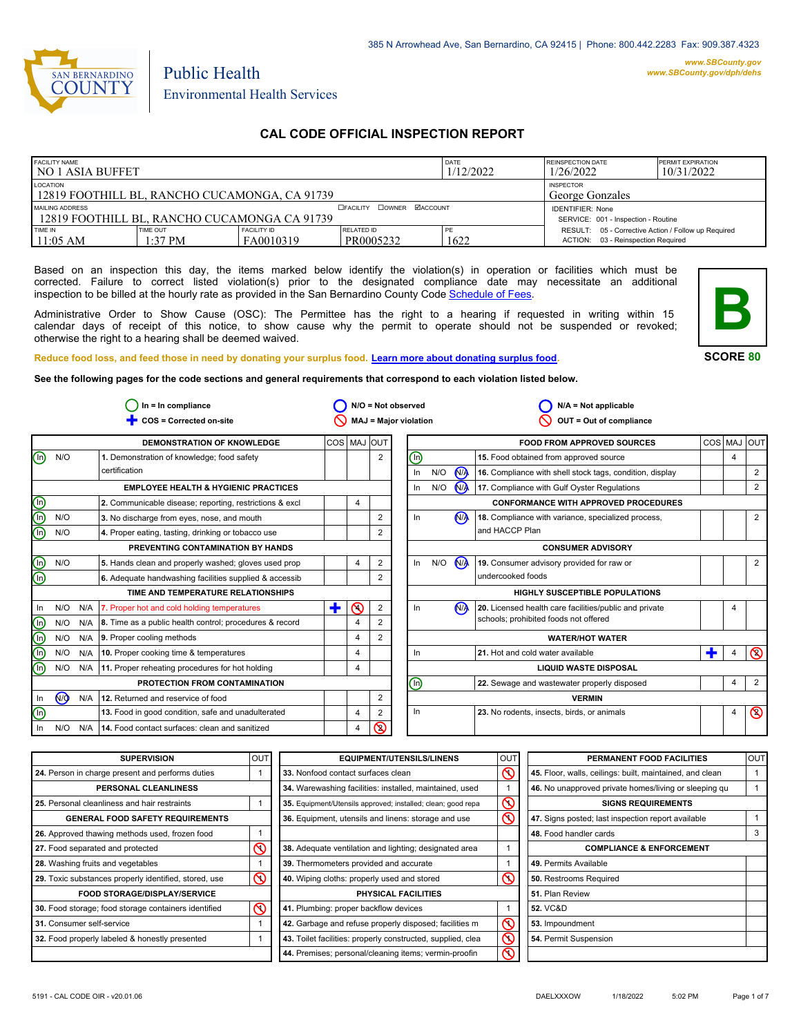

# Environmental Health Services

Public Health

# **CAL CODE OFFICIAL INSPECTION REPORT**

| <b>FACILITY NAME</b><br>I NO 1 ASIA BUFFET                                                          |  |                                     |                         | DATE<br>1/12/2022 | REINSPECTION DATE<br>1/26/2022                                                               | <b>PERMIT EXPIRATION</b><br>10/31/2022 |
|-----------------------------------------------------------------------------------------------------|--|-------------------------------------|-------------------------|-------------------|----------------------------------------------------------------------------------------------|----------------------------------------|
| LOCATION<br>12819 FOOTHILL BL, RANCHO CUCAMONGA, CA 91739                                           |  | <b>INSPECTOR</b><br>George Gonzales |                         |                   |                                                                                              |                                        |
| <b>CEACILITY COWNER MACCOUNT</b><br>MAILING ADDRESS<br>12819 FOOTHILL BL. RANCHO CUCAMONGA CA 91739 |  |                                     |                         |                   | <b>IDENTIFIER: None</b><br>SERVICE: 001 - Inspection - Routine                               |                                        |
| TIME IN<br><b>FACILITY ID</b><br>TIME OUT<br>$11:05$ AM<br>FA0010319<br>$1:37$ PM                   |  |                                     | RELATED ID<br>PR0005232 | PE<br>1622        | RESULT: 05 - Corrective Action / Follow up Required<br>03 - Reinspection Required<br>ACTION: |                                        |

Based on an inspection this day, the items marked below identify the violation(s) in operation or facilities which must be corrected. Failure to correct listed violation(s) prior to the designated compliance date may necessitate an additional inspection to be billed at the hourly rate as provided in the San Bernardino County Co[de Schedule of Fees.](https://codelibrary.amlegal.com/codes/sanbernardino/latest/sanberncty_ca/0-0-0-122474#JD_16.0213B)

Administrative Order to Show Cause (OSC): The Permittee has the right to a hearing if requested in writing within 15 calendar days of receipt of this notice, to show cause why the permit to operate should not be suspended or revoked; otherwise the right to a hearing shall be deemed waived.



**SCORE 80**

4

4 | <mark>Q</mark>

 $\overline{\mathsf{D}}$ 

4

Ë

4

2 4

2 2

2

2

**Reduce food loss, and feed those in need by donating your surplus f[ood. Learn more about donating surplus food.](https://wp.sbcounty.gov/dph/programs/ehs/charitable-food-service/) See the following pages for the code sections and general requirements that correspond to each violation listed below.**

**COS = Corrected on-site MAJ = Major violation** Ë **OUT = Out of compliance In = In compliance N/A = Not observed N/A = Not applicable**  $\bigcirc$  In = In compliance  $\bigcirc$  N/O = Not observed  $\circ$  $\circ$  $\overline{\mathsf{D}}$  $\bigcirc$  2 In  $\frac{1}{\sqrt{2}}$  N/A **DEMONSTRATION OF KNOWLEDGE**  $N/O$ **EMPLOYEE HEALTH & HYGIENIC PRACTICES 1.** Demonstration of knowledge; food safety certification **3.** No discharge from eyes, nose, and mouth **4.** Proper eating, tasting, drinking or tobacco use **PREVENTING CONTAMINATION BY HANDS TIME AND TEMPERATURE RELATIONSHIPS 6.** Adequate handwashing facilities supplied & accessib **PROTECTION FROM CONTAMINATION 12.** Returned and reservice of food COS MAJ OUT **FOOD FROM APPROVED SOURCES** COS MAJ OUT **16.** Compliance with shell stock tags, condition, display **17.** Compliance with Gulf Oyster Regulations **CONFORMANCE WITH APPROVED PROCEDURES 18.** Compliance with variance, specialized process, and HACCP Plan **19.** Consumer advisory provided for raw or undercooked foods **CONSUMER ADVISORY HIGHLY SUSCEPTIBLE POPULATIONS WATER/HOT WATER LIQUID WASTE DISPOSAL VERMIN** 2 2 2 2 2 2  $\overline{2}$ 4 4 4 4 4 4 4 **2.** Communicable disease; reporting, restrictions & excl  $\begin{vmatrix} 4 \\ 4 \end{vmatrix}$ N/O N/O  $N/O$ In In N/O N/A N/O N/A In N/O N/A  $\circledcirc$ In  $N/O$   $N/A$  $In$  N/O In N/A In N/O N/A In N/A In  $\circledcirc$ In N/O N/A  $N/O$   $N/A$  $N/O$   $N/A$  $\circledcirc$ Ë  $\binom{n}{k}$ n) ⋒ 网 G) ົm) ⋒ ⋒ ົm) N<sub>/</sub> 2 **5.** Hands clean and properly washed; gloves used prop  $\begin{vmatrix} 4 & 2 \end{vmatrix}$ **7.** Proper hot and cold holding temperatures **8.** Time as a public health control; procedures & record **9.** Proper cooling methods **10.** Proper cooking time & temperatures **11.** Proper reheating procedures for hot holding **13.** Food in good condition, safe and unadulterated **14.** Food contact surfaces: clean and sanitized **15.** Food obtained from approved source **20.** Licensed health care facilities/public and private schools; prohibited foods not offered **21.** Hot and cold water available **22.** Sewage and wastewater properly disposed **23.** No rodents, insects, birds, or animals

| <b>SUPERVISION</b>                                    | loutl    | <b>EQUIPMENT/UTENSILS/LINENS</b>                             | <b>OUT</b> | PERMANENT FOOD FACILITIES                                | <b>OUT</b> |
|-------------------------------------------------------|----------|--------------------------------------------------------------|------------|----------------------------------------------------------|------------|
| 24. Person in charge present and performs duties      |          | 33. Nonfood contact surfaces clean                           | K          | 45. Floor, walls, ceilings: built, maintained, and clean |            |
| <b>PERSONAL CLEANLINESS</b>                           |          | 34. Warewashing facilities: installed, maintained, used      |            | 46. No unapproved private homes/living or sleeping qu    |            |
| 25. Personal cleanliness and hair restraints          |          | 35. Equipment/Utensils approved; installed; clean; good repa | S          | <b>SIGNS REQUIREMENTS</b>                                |            |
| <b>GENERAL FOOD SAFETY REQUIREMENTS</b>               |          | 36. Equipment, utensils and linens: storage and use          | S          | 47. Signs posted; last inspection report available       |            |
| 26. Approved thawing methods used, frozen food        |          |                                                              |            | 48. Food handler cards                                   | 3          |
| 27. Food separated and protected                      | ๙        | 38. Adequate ventilation and lighting; designated area       |            | <b>COMPLIANCE &amp; ENFORCEMENT</b>                      |            |
| 28. Washing fruits and vegetables                     |          | 39. Thermometers provided and accurate                       |            | 49. Permits Available                                    |            |
| 29. Toxic substances properly identified, stored, use | $\infty$ | 40. Wiping cloths: properly used and stored                  | κ          | 50. Restrooms Required                                   |            |
| <b>FOOD STORAGE/DISPLAY/SERVICE</b>                   |          | PHYSICAL FACILITIES                                          |            | 51. Plan Review                                          |            |
| 30. Food storage; food storage containers identified  | $\circ$  | 41. Plumbing: proper backflow devices                        |            | <b>52. VC&amp;D</b>                                      |            |
| 31. Consumer self-service                             |          | 42. Garbage and refuse properly disposed; facilities m       | Ϛ          | 53. Impoundment                                          |            |
| 32. Food properly labeled & honestly presented        |          | 43. Toilet facilities: properly constructed, supplied, clea  | S          | 54. Permit Suspension                                    |            |
|                                                       |          | 44. Premises; personal/cleaning items; vermin-proofin        | ᠊          |                                                          |            |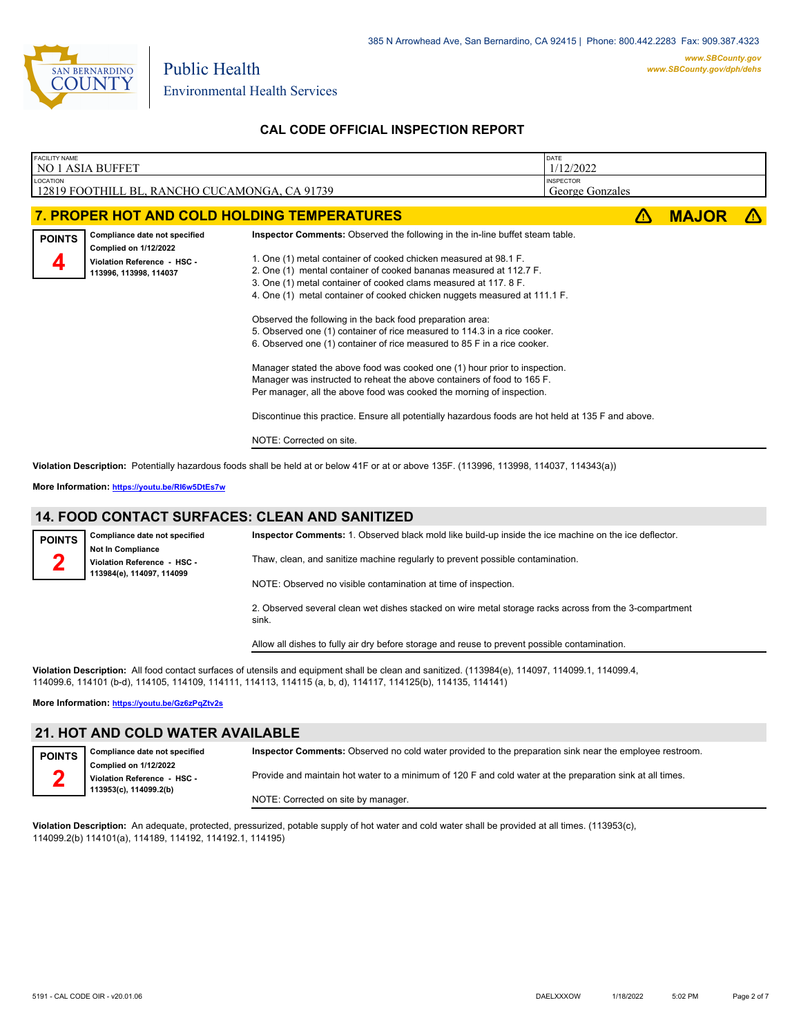

| 1/12/2022<br>LOCATION<br><b>INSPECTOR</b><br>12819 FOOTHILL BL, RANCHO CUCAMONGA, CA 91739<br>George Gonzales<br>7. PROPER HOT AND COLD HOLDING TEMPERATURES<br><b>MAJOR</b><br>Inspector Comments: Observed the following in the in-line buffet steam table.<br>Compliance date not specified<br><b>POINTS</b><br><b>Complied on 1/12/2022</b><br>1. One (1) metal container of cooked chicken measured at 98.1 F.<br>Violation Reference - HSC -<br>4<br>2. One (1) mental container of cooked bananas measured at 112.7 F.<br>113996, 113998, 114037<br>3. One (1) metal container of cooked clams measured at 117. 8 F.<br>4. One (1) metal container of cooked chicken nuggets measured at 111.1 F.<br>Observed the following in the back food preparation area:<br>5. Observed one (1) container of rice measured to 114.3 in a rice cooker.<br>6. Observed one (1) container of rice measured to 85 F in a rice cooker.<br>Manager stated the above food was cooked one (1) hour prior to inspection.<br>Manager was instructed to reheat the above containers of food to 165 F.<br>Per manager, all the above food was cooked the morning of inspection.<br>Discontinue this practice. Ensure all potentially hazardous foods are hot held at 135 F and above. | <b>FACILITY NAME</b><br>NO 1 ASIA BUFFET |  |  |  |  |  |
|------------------------------------------------------------------------------------------------------------------------------------------------------------------------------------------------------------------------------------------------------------------------------------------------------------------------------------------------------------------------------------------------------------------------------------------------------------------------------------------------------------------------------------------------------------------------------------------------------------------------------------------------------------------------------------------------------------------------------------------------------------------------------------------------------------------------------------------------------------------------------------------------------------------------------------------------------------------------------------------------------------------------------------------------------------------------------------------------------------------------------------------------------------------------------------------------------------------------------------------------------------------------|------------------------------------------|--|--|--|--|--|
|                                                                                                                                                                                                                                                                                                                                                                                                                                                                                                                                                                                                                                                                                                                                                                                                                                                                                                                                                                                                                                                                                                                                                                                                                                                                        |                                          |  |  |  |  |  |
|                                                                                                                                                                                                                                                                                                                                                                                                                                                                                                                                                                                                                                                                                                                                                                                                                                                                                                                                                                                                                                                                                                                                                                                                                                                                        |                                          |  |  |  |  |  |
|                                                                                                                                                                                                                                                                                                                                                                                                                                                                                                                                                                                                                                                                                                                                                                                                                                                                                                                                                                                                                                                                                                                                                                                                                                                                        |                                          |  |  |  |  |  |
| NOTE: Corrected on site.<br>Violation Description: Potentially hazardous foods shall be held at or below 41F or at or above 135F. (113996, 113998, 114037, 114343(a))                                                                                                                                                                                                                                                                                                                                                                                                                                                                                                                                                                                                                                                                                                                                                                                                                                                                                                                                                                                                                                                                                                  |                                          |  |  |  |  |  |

**More Information: <https://youtu.be/RI6w5DtEs7w>**

#### **14. FOOD CONTACT SURFACES: CLEAN AND SANITIZED**

| <b>POINTS</b> | Compliance date not specified                                                        | Inspector Comments: 1. Observed black mold like build-up inside the ice machine on the ice deflector.           |
|---------------|--------------------------------------------------------------------------------------|-----------------------------------------------------------------------------------------------------------------|
|               | <b>Not In Compliance</b><br>Violation Reference - HSC -<br>113984(e), 114097, 114099 | Thaw, clean, and sanitize machine regularly to prevent possible contamination.                                  |
|               |                                                                                      | NOTE: Observed no visible contamination at time of inspection.                                                  |
|               |                                                                                      | 2. Observed several clean wet dishes stacked on wire metal storage racks across from the 3-compartment<br>sink. |
|               |                                                                                      | Allow all dishes to fully air dry before storage and reuse to prevent possible contamination.                   |

**Violation Description:** All food contact surfaces of utensils and equipment shall be clean and sanitized. (113984(e), 114097, 114099.1, 114099.4, 114099.6, 114101 (b-d), 114105, 114109, 114111, 114113, 114115 (a, b, d), 114117, 114125(b), 114135, 114141)

**More Information: <https://youtu.be/Gz6zPqZtv2s>**

#### **21. HOT AND COLD WATER AVAILABLE**

| <b>POINTS</b> | Compliance date not specified                               | Inspector Comments: Observed no cold water provided to the preparation sink near the employee restroom.   |
|---------------|-------------------------------------------------------------|-----------------------------------------------------------------------------------------------------------|
|               | <b>Complied on 1/12/2022</b><br>Violation Reference - HSC - | Provide and maintain hot water to a minimum of 120 F and cold water at the preparation sink at all times. |
|               | 113953(c), 114099.2(b)                                      | NOTE: Corrected on site by manager.                                                                       |

**Violation Description:** An adequate, protected, pressurized, potable supply of hot water and cold water shall be provided at all times. (113953(c), 114099.2(b) 114101(a), 114189, 114192, 114192.1, 114195)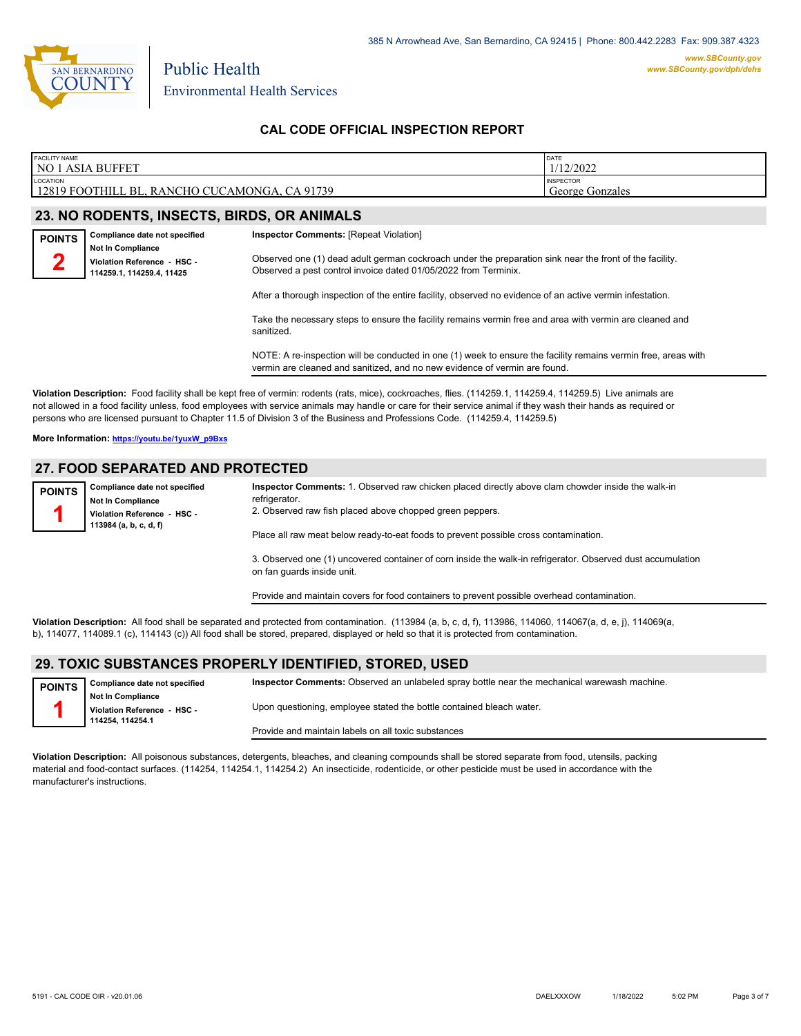

Environmental Health Services

Public Health

### **CAL CODE OFFICIAL INSPECTION REPORT**

| <b>FACILITY NAME</b><br>NO 1 ASIA<br>、BUFFET                        | <b>DATE</b><br>1/12/2022            |
|---------------------------------------------------------------------|-------------------------------------|
| <b>LOCATION</b><br>12819 FOOTHILL BL, RANCHO CUCAMONGA,<br>CA 91739 | <b>INSPECTOR</b><br>George Gonzales |

# **23. NO RODENTS, INSECTS, BIRDS, OR ANIMALS**

| <b>POINTS</b> | Compliance date not specified                           | <b>Inspector Comments: [Repeat Violation]</b>                                                                                                                              |
|---------------|---------------------------------------------------------|----------------------------------------------------------------------------------------------------------------------------------------------------------------------------|
| m             | <b>Not In Compliance</b><br>Violation Reference - HSC - | Observed one (1) dead adult german cockroach under the preparation sink near the front of the facility.<br>Observed a pest control invoice dated 01/05/2022 from Terminix. |
|               | 114259.1.114259.4.11425                                 | After a thorough inspection of the entire facility, observed no evidence of an active vermin infestation.                                                                  |
|               |                                                         | Take the necessary steps to ensure the facility remains vermin free and area with vermin are cleaned and                                                                   |

Take the necessary steps to ensure the facility remains vermin free and area with vermin are cleaned and sanitized.

NOTE: A re-inspection will be conducted in one (1) week to ensure the facility remains vermin free, areas with vermin are cleaned and sanitized, and no new evidence of vermin are found.

**Violation Description:** Food facility shall be kept free of vermin: rodents (rats, mice), cockroaches, flies. (114259.1, 114259.4, 114259.5) Live animals are not allowed in a food facility unless, food employees with service animals may handle or care for their service animal if they wash their hands as required or persons who are licensed pursuant to Chapter 11.5 of Division 3 of the Business and Professions Code. (114259.4, 114259.5)

**More Information: [https://youtu.be/1yuxW\\_p9Bxs](https://youtu.be/1yuxW_p9Bxs)**

#### **27. FOOD SEPARATED AND PROTECTED**

**Compliance date not specified Not In Compliance Violation Reference - HSC - 113984 (a, b, c, d, f) POINTS 1 Inspector Comments:** 1. Observed raw chicken placed directly above clam chowder inside the walk-in refrigerator. 2. Observed raw fish placed above chopped green peppers. Place all raw meat below ready-to-eat foods to prevent possible cross contamination. 3. Observed one (1) uncovered container of corn inside the walk-in refrigerator. Observed dust accumulation on fan guards inside unit.

Provide and maintain covers for food containers to prevent possible overhead contamination.

**Violation Description:** All food shall be separated and protected from contamination. (113984 (a, b, c, d, f), 113986, 114060, 114067(a, d, e, j), 114069(a, b), 114077, 114089.1 (c), 114143 (c)) All food shall be stored, prepared, displayed or held so that it is protected from contamination.

# **29. TOXIC SUBSTANCES PROPERLY IDENTIFIED, STORED, USED**

| <b>POINTS</b>               | Compliance date not specified | Inspector Comments: Observed an unlabeled spray bottle near the mechanical warewash machine. |
|-----------------------------|-------------------------------|----------------------------------------------------------------------------------------------|
|                             | Not In Compliance             |                                                                                              |
| Violation Reference - HSC - |                               | Upon questioning, employee stated the bottle contained bleach water.                         |
|                             | 114254.114254.1               |                                                                                              |
|                             |                               | Provide and maintain labels on all toxic substances                                          |

**Violation Description:** All poisonous substances, detergents, bleaches, and cleaning compounds shall be stored separate from food, utensils, packing material and food-contact surfaces. (114254, 114254.1, 114254.2) An insecticide, rodenticide, or other pesticide must be used in accordance with the manufacturer's instructions.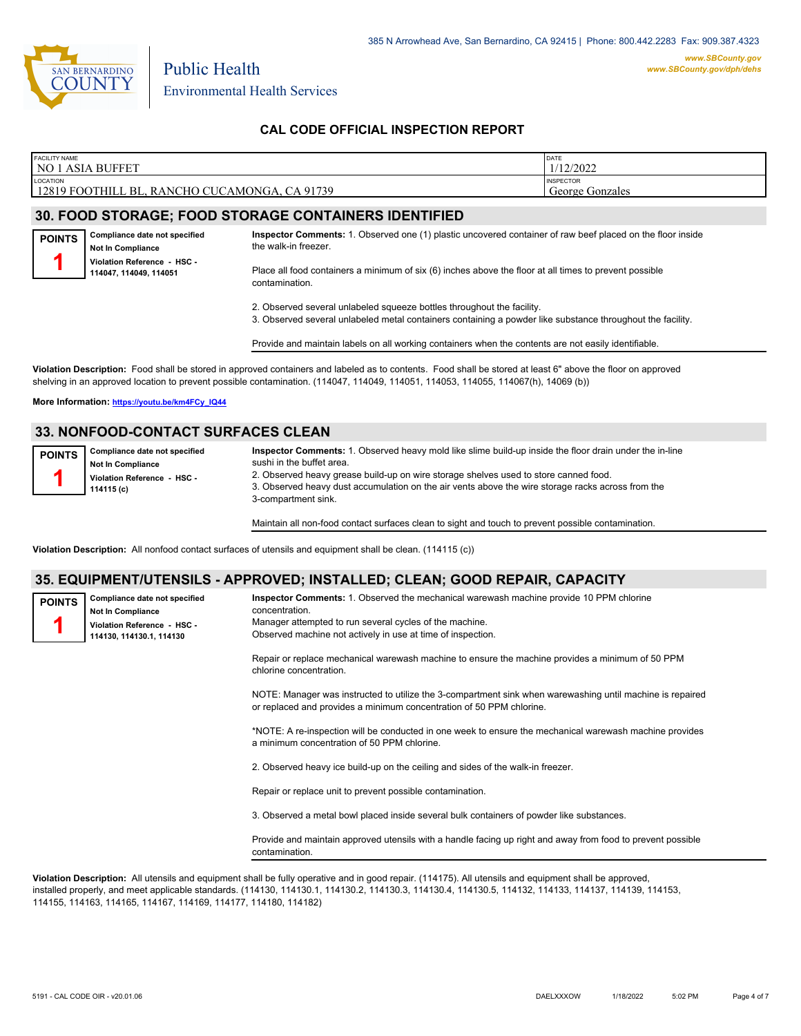

| <b>FACILITY NAME</b><br>NO <sup>1</sup><br><b>ASIA</b><br><b>BUFFET</b> | DATE<br>1/12/2022                   |
|-------------------------------------------------------------------------|-------------------------------------|
| LOCATION<br>12819 FOOTHILL BL.<br>, RANCHO CUCAMONGA, CA 91739          | <b>INSPECTOR</b><br>George Gonzales |

# **30. FOOD STORAGE; FOOD STORAGE CONTAINERS IDENTIFIED**

**Compliance date not specified Not In Compliance Violation Reference - HSC - 114047, 114049, 114051 POINTS 1**

**Inspector Comments:** 1. Observed one (1) plastic uncovered container of raw beef placed on the floor inside the walk-in freezer.

Place all food containers a minimum of six (6) inches above the floor at all times to prevent possible contamination.

2. Observed several unlabeled squeeze bottles throughout the facility.

3. Observed several unlabeled metal containers containing a powder like substance throughout the facility.

Provide and maintain labels on all working containers when the contents are not easily identifiable.

**Violation Description:** Food shall be stored in approved containers and labeled as to contents. Food shall be stored at least 6" above the floor on approved shelving in an approved location to prevent possible contamination. (114047, 114049, 114051, 114053, 114055, 114067(h), 14069 (b))

**More Information: [https://youtu.be/km4FCy\\_IQ44](https://youtu.be/km4FCy_IQ44)**

# **33. NONFOOD-CONTACT SURFACES CLEAN**

| <b>POINTS</b>               | Compliance date not specified | Inspector Comments: 1. Observed heavy mold like slime build-up inside the floor drain under the in-line |
|-----------------------------|-------------------------------|---------------------------------------------------------------------------------------------------------|
|                             | Not In Compliance             | sushi in the buffet area.                                                                               |
| Violation Reference - HSC - |                               | 2. Observed heavy grease build-up on wire storage shelves used to store canned food.                    |
|                             | 114115 (c)                    | 3. Observed heavy dust accumulation on the air vents above the wire storage racks across from the       |
|                             |                               | 3-compartment sink.                                                                                     |

Maintain all non-food contact surfaces clean to sight and touch to prevent possible contamination.

**Violation Description:** All nonfood contact surfaces of utensils and equipment shall be clean. (114115 (c))

#### **35. EQUIPMENT/UTENSILS - APPROVED; INSTALLED; CLEAN; GOOD REPAIR, CAPACITY**

| <b>POINTS</b> | Compliance date not specified<br><b>Not In Compliance</b><br>Violation Reference - HSC -<br>114130, 114130.1, 114130 | Inspector Comments: 1. Observed the mechanical warewash machine provide 10 PPM chlorine<br>concentration.<br>Manager attempted to run several cycles of the machine.<br>Observed machine not actively in use at time of inspection. |
|---------------|----------------------------------------------------------------------------------------------------------------------|-------------------------------------------------------------------------------------------------------------------------------------------------------------------------------------------------------------------------------------|
|               |                                                                                                                      | Repair or replace mechanical warewash machine to ensure the machine provides a minimum of 50 PPM<br>chlorine concentration.                                                                                                         |
|               |                                                                                                                      | NOTE: Manager was instructed to utilize the 3-compartment sink when warewashing until machine is repaired<br>or replaced and provides a minimum concentration of 50 PPM chlorine.                                                   |
|               |                                                                                                                      | *NOTE: A re-inspection will be conducted in one week to ensure the mechanical warewash machine provides<br>a minimum concentration of 50 PPM chlorine.                                                                              |
|               |                                                                                                                      | 2. Observed heavy ice build-up on the ceiling and sides of the walk-in freezer.                                                                                                                                                     |
|               |                                                                                                                      | Repair or replace unit to prevent possible contamination.                                                                                                                                                                           |
|               |                                                                                                                      | 3. Observed a metal bowl placed inside several bulk containers of powder like substances.                                                                                                                                           |
|               |                                                                                                                      | Provide and maintain approved utensils with a handle facing up right and away from food to prevent possible<br>contamination.                                                                                                       |

**Violation Description:** All utensils and equipment shall be fully operative and in good repair. (114175). All utensils and equipment shall be approved, installed properly, and meet applicable standards. (114130, 114130.1, 114130.2, 114130.3, 114130.4, 114130.5, 114132, 114133, 114137, 114139, 114153, 114155, 114163, 114165, 114167, 114169, 114177, 114180, 114182)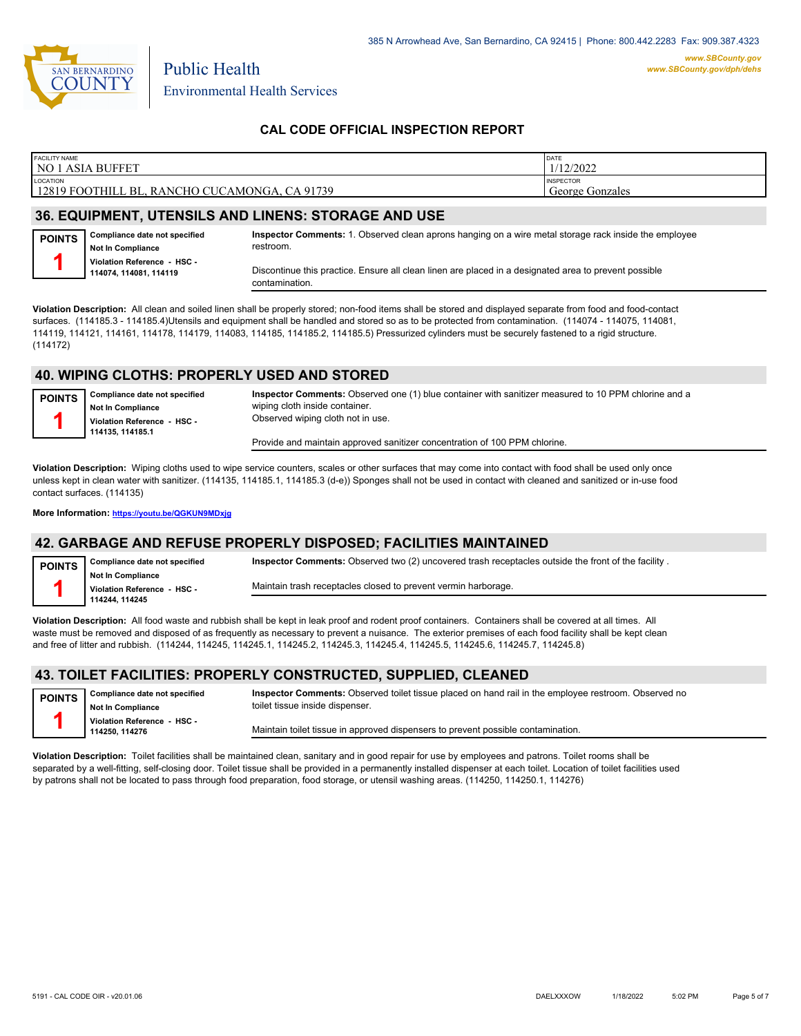

| <b>FACILITY NAME</b>                            | DATE             |  |  |  |
|-------------------------------------------------|------------------|--|--|--|
| NO 1 ASIA BUFFET                                | 1/12/2022        |  |  |  |
| LOCATION                                        | <b>INSPECTOR</b> |  |  |  |
| 12819 FOOTHILL BL, RANCHO CUCAMONGA, CA 91739   | George Gonzales  |  |  |  |
| AA FAUIBHFUT UTFUAU A LUB UUFUA ATABLAF LUB UAF |                  |  |  |  |

#### **36. EQUIPMENT, UTENSILS AND LINENS: STORAGE AND USE**

**Compliance date not specified Not In Compliance Violation Reference - HSC - 114074, 114081, 114119 POINTS 1 Inspector Comments:** 1. Observed clean aprons hanging on a wire metal storage rack inside the employee restroom. Discontinue this practice. Ensure all clean linen are placed in a designated area to prevent possible contamination.

**Violation Description:** All clean and soiled linen shall be properly stored; non-food items shall be stored and displayed separate from food and food-contact surfaces. (114185.3 - 114185.4)Utensils and equipment shall be handled and stored so as to be protected from contamination. (114074 - 114075, 114081, 114119, 114121, 114161, 114178, 114179, 114083, 114185, 114185.2, 114185.5) Pressurized cylinders must be securely fastened to a rigid structure. (114172)

#### **40. WIPING CLOTHS: PROPERLY USED AND STORED**

**Compliance date not specified Not In Compliance Violation Reference - HSC - 114135, 114185.1 POINTS 1 Inspector Comments:** Observed one (1) blue container with sanitizer measured to 10 PPM chlorine and a wiping cloth inside container. Observed wiping cloth not in use. Provide and maintain approved sanitizer concentration of 100 PPM chlorine.

**Violation Description:** Wiping cloths used to wipe service counters, scales or other surfaces that may come into contact with food shall be used only once unless kept in clean water with sanitizer. (114135, 114185.1, 114185.3 (d-e)) Sponges shall not be used in contact with cleaned and sanitized or in-use food contact surfaces. (114135)

**More Information: <https://youtu.be/QGKUN9MDxjg>**

### **42. GARBAGE AND REFUSE PROPERLY DISPOSED; FACILITIES MAINTAINED**

| <b>POINTS</b> | Compliance date not specified                           | Inspector Comments: Observed two (2) uncovered trash receptacles outside the front of the facility. |
|---------------|---------------------------------------------------------|-----------------------------------------------------------------------------------------------------|
|               | <b>Not In Compliance</b><br>Violation Reference - HSC - | Maintain trash receptacles closed to prevent vermin harborage.                                      |
|               | 114244.114245                                           |                                                                                                     |

**Violation Description:** All food waste and rubbish shall be kept in leak proof and rodent proof containers. Containers shall be covered at all times. All waste must be removed and disposed of as frequently as necessary to prevent a nuisance. The exterior premises of each food facility shall be kept clean and free of litter and rubbish. (114244, 114245, 114245.1, 114245.2, 114245.3, 114245.4, 114245.5, 114245.6, 114245.7, 114245.8)

#### **43. TOILET FACILITIES: PROPERLY CONSTRUCTED, SUPPLIED, CLEANED**

**Compliance date not specified Not In Compliance Violation Reference - HSC - 114250, 114276 POINTS 1**

**Inspector Comments:** Observed toilet tissue placed on hand rail in the employee restroom. Observed no toilet tissue inside dispenser.

Maintain toilet tissue in approved dispensers to prevent possible contamination.

**Violation Description:** Toilet facilities shall be maintained clean, sanitary and in good repair for use by employees and patrons. Toilet rooms shall be separated by a well-fitting, self-closing door. Toilet tissue shall be provided in a permanently installed dispenser at each toilet. Location of toilet facilities used by patrons shall not be located to pass through food preparation, food storage, or utensil washing areas. (114250, 114250.1, 114276)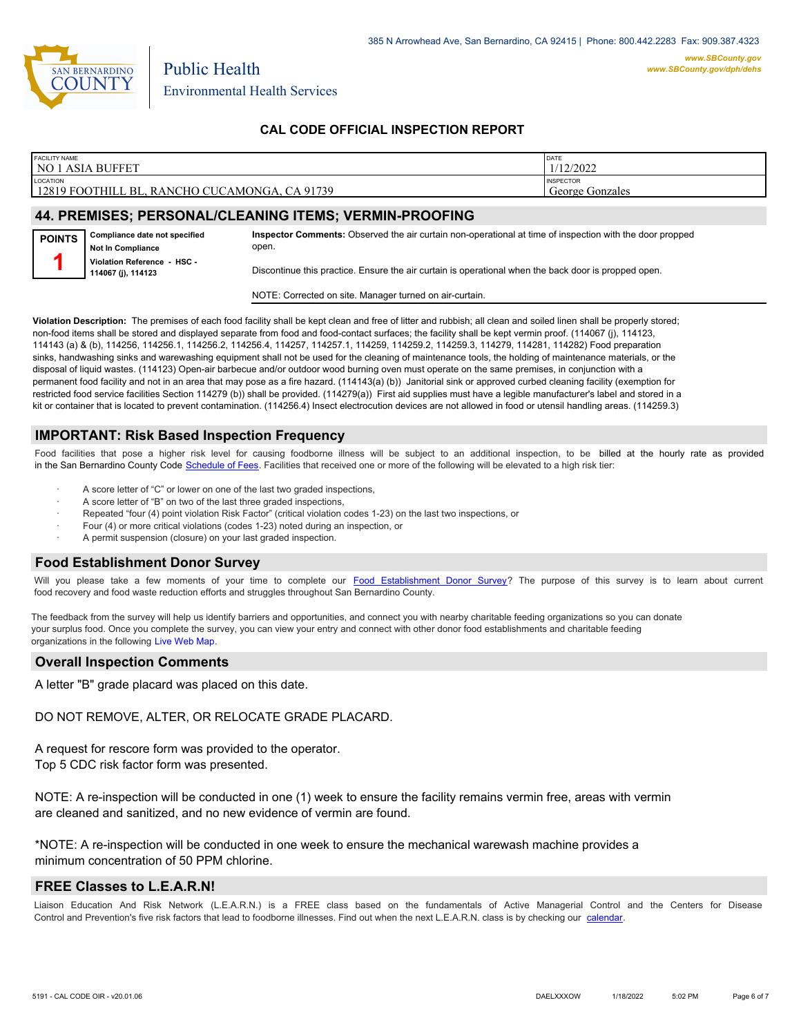

| <b>FACILITY NAME</b>                                           | DATE             |
|----------------------------------------------------------------|------------------|
| <b>NO 1 ASIA BUFFET</b>                                        | 1/12/2022        |
| <b>LOCATION</b>                                                | <b>INSPECTOR</b> |
| 12819 FOOTHILL BL, RANCHO CUCAMONGA, CA 91739                  | George Gonzales  |
| <b>44 BREMICEC, BERCAMALICI EAMING ITEMS, VERMINI BROAFING</b> |                  |

#### **44. PREMISES; PERSONAL/CLEANING ITEMS; VERMIN-PROOFING**

**Compliance date not specified Not In Compliance Violation Reference - HSC - 114067 (j), 114123 POINTS 1 Inspector Comments:** Observed the air curtain non-operational at time of inspection with the door propped open. Discontinue this practice. Ensure the air curtain is operational when the back door is propped open.

NOTE: Corrected on site. Manager turned on air-curtain.

**Violation Description:** The premises of each food facility shall be kept clean and free of litter and rubbish; all clean and soiled linen shall be properly stored; non-food items shall be stored and displayed separate from food and food-contact surfaces; the facility shall be kept vermin proof. (114067 (j), 114123, 114143 (a) & (b), 114256, 114256.1, 114256.2, 114256.4, 114257, 114257.1, 114259, 114259.2, 114259.3, 114279, 114281, 114282) Food preparation sinks, handwashing sinks and warewashing equipment shall not be used for the cleaning of maintenance tools, the holding of maintenance materials, or the disposal of liquid wastes. (114123) Open-air barbecue and/or outdoor wood burning oven must operate on the same premises, in conjunction with a permanent food facility and not in an area that may pose as a fire hazard. (114143(a) (b)) Janitorial sink or approved curbed cleaning facility (exemption for restricted food service facilities Section 114279 (b)) shall be provided. (114279(a)) First aid supplies must have a legible manufacturer's label and stored in a kit or container that is located to prevent contamination. (114256.4) Insect electrocution devices are not allowed in food or utensil handling areas. (114259.3)

#### **IMPORTANT: Risk Based Inspection Frequency**

Food facilities that pose a higher risk level for causing foodborne illness will be subject to an additional inspection, to be billed at the hourly rate as provided in the San Bernardino Count[y Code Schedule of Fees. Facilitie](https://codelibrary.amlegal.com/codes/sanbernardino/latest/sanberncty_ca/0-0-0-122474#JD_16.0213B)s that received one or more of the following will be elevated to a high risk tier:

- A score letter of "C" or lower on one of the last two graded inspections,
- A score letter of "B" on two of the last three graded inspections,
- Repeated "four (4) point violation Risk Factor" (critical violation codes 1-23) on the last two inspections, or
- Four (4) or more critical violations (codes 1-23) noted during an inspection, or
- A permit suspension (closure) on your last graded inspection.

#### **Food Establishment Donor Survey**

Will you please take a few moments of your time to co[mplete our Food Establishment Donor Survey?](https://survey123.arcgis.com/share/626bb0fb21674c82832b0c0d557c5e80?field:faid=FA0010319&field:facility_name=NO%201%20ASIA%20BUFFET¢er=34.11,-117.53&field:phone=9098033288) The purpose of this survey is to learn about current food recovery and food waste reduction efforts and struggles throughout San Bernardino County.

The feedback from the survey will help us identify barriers and opportunities, and connect you with nearby charitable feeding organizations so you can donate your surplus food. Once you complete the survey, you can view your entry and connect with other donor food establishments and charitable feeding organizations in the fol[lowing Live Web Map.](https://arcg.is/WvjGb)

#### **Overall Inspection Comments**

A letter "B" grade placard was placed on this date.

DO NOT REMOVE, ALTER, OR RELOCATE GRADE PLACARD.

A request for rescore form was provided to the operator. Top 5 CDC risk factor form was presented.

NOTE: A re-inspection will be conducted in one (1) week to ensure the facility remains vermin free, areas with vermin are cleaned and sanitized, and no new evidence of vermin are found.

\*NOTE: A re-inspection will be conducted in one week to ensure the mechanical warewash machine provides a minimum concentration of 50 PPM chlorine.

#### **FREE Classes to L.E.A.R.N!**

Liaison Education And Risk Network (L.E.A.R.N.) is a FREE class based on the fundamentals of Active Managerial Control and the Centers for Disease Control and Prevention's five risk factors that lead to foodborne illnesses. Find out when the next L.E.A.R.N. class is by checking our [calendar.](http://wp.sbcounty.gov/dph/events/)